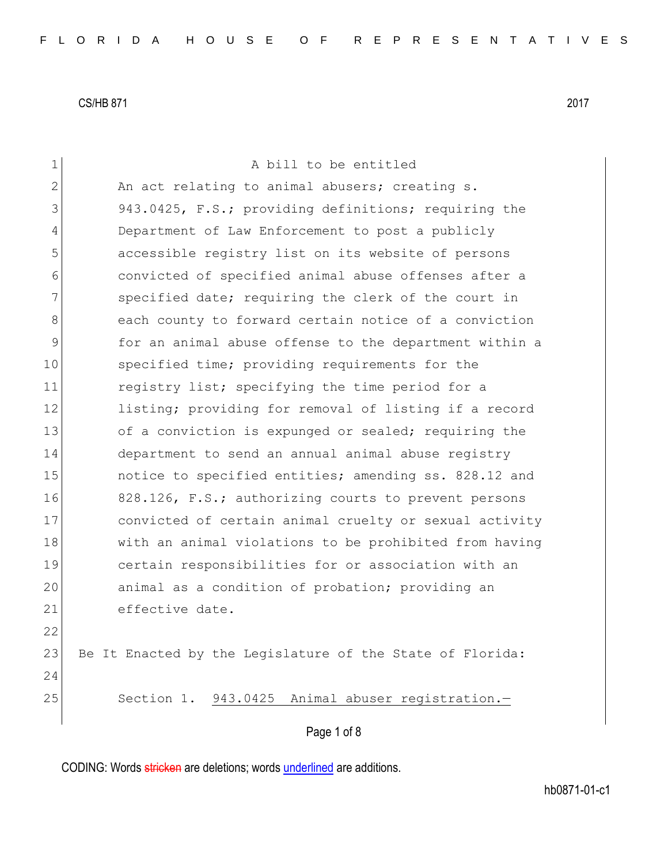| $\mathbf 1$    | A bill to be entitled                                     |
|----------------|-----------------------------------------------------------|
| $\overline{2}$ | An act relating to animal abusers; creating s.            |
| 3              | 943.0425, F.S.; providing definitions; requiring the      |
| 4              | Department of Law Enforcement to post a publicly          |
| 5              | accessible registry list on its website of persons        |
| 6              | convicted of specified animal abuse offenses after a      |
| 7              | specified date; requiring the clerk of the court in       |
| 8              | each county to forward certain notice of a conviction     |
| 9              | for an animal abuse offense to the department within a    |
| 10             | specified time; providing requirements for the            |
| 11             | registry list; specifying the time period for a           |
| 12             | listing; providing for removal of listing if a record     |
| 13             | of a conviction is expunged or sealed; requiring the      |
| 14             | department to send an annual animal abuse registry        |
| 15             | notice to specified entities; amending ss. 828.12 and     |
| 16             | 828.126, F.S.; authorizing courts to prevent persons      |
| 17             | convicted of certain animal cruelty or sexual activity    |
| 18             | with an animal violations to be prohibited from having    |
| 19             | certain responsibilities for or association with an       |
| 20             | animal as a condition of probation; providing an          |
| 21             | effective date.                                           |
| 22             |                                                           |
| 23             | Be It Enacted by the Legislature of the State of Florida: |
| 24             |                                                           |
| 25             | Section 1. 943.0425 Animal abuser registration.-          |
|                | Page 1 of 8                                               |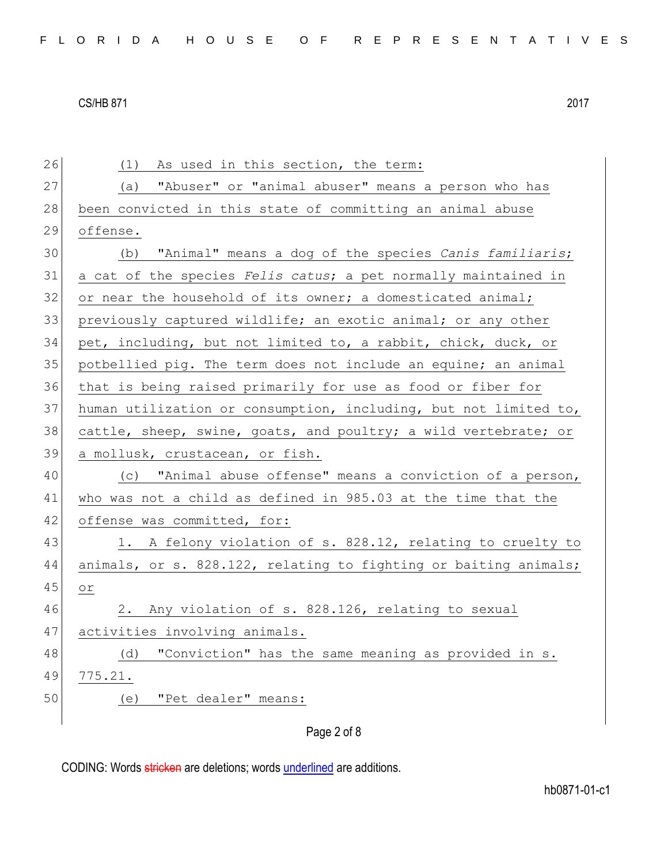Page 2 of 8 26 (1) As used in this section, the term: 27 (a) "Abuser" or "animal abuser" means a person who has 28 been convicted in this state of committing an animal abuse 29 offense. 30 (b) "Animal" means a dog of the species *Canis familiaris*; 31 a cat of the species *Felis catus*; a pet normally maintained in 32 or near the household of its owner; a domesticated animal; 33 previously captured wildlife; an exotic animal; or any other 34 pet, including, but not limited to, a rabbit, chick, duck, or 35 potbellied pig. The term does not include an equine; an animal 36 that is being raised primarily for use as food or fiber for 37 human utilization or consumption, including, but not limited to, 38 cattle, sheep, swine, goats, and poultry; a wild vertebrate; or 39 a mollusk, crustacean, or fish. 40 (c) "Animal abuse offense" means a conviction of a person, 41 who was not a child as defined in 985.03 at the time that the 42 offense was committed, for: 43 1. A felony violation of s. 828.12, relating to cruelty to 44 animals, or s. 828.122, relating to fighting or baiting animals; 45 or 46 2. Any violation of s. 828.126, relating to sexual 47 activities involving animals. 48 (d) "Conviction" has the same meaning as provided in s. 49 775.21. 50 (e) "Pet dealer" means: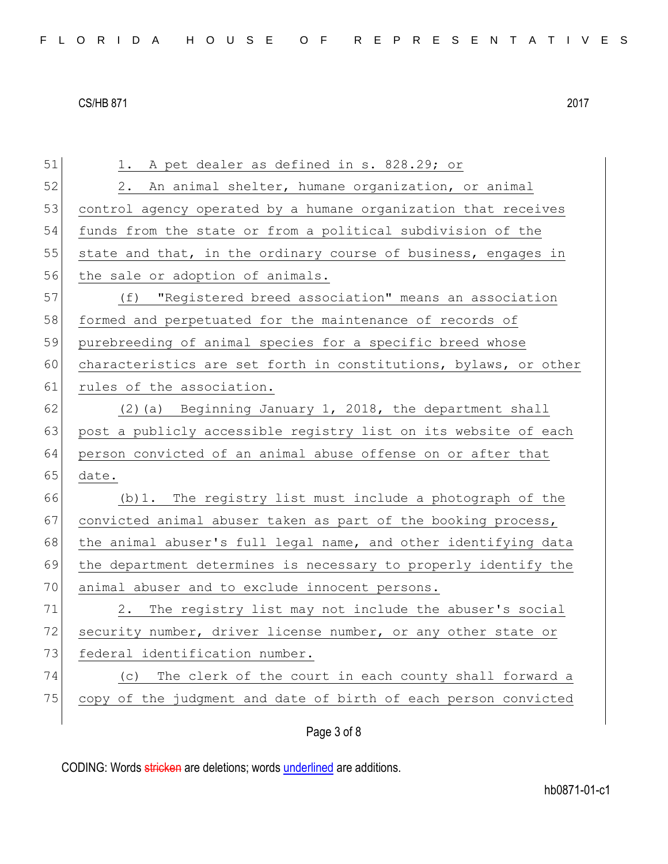| 51 | 1. A pet dealer as defined in s. 828.29; or                      |
|----|------------------------------------------------------------------|
| 52 | 2. An animal shelter, humane organization, or animal             |
| 53 | control agency operated by a humane organization that receives   |
| 54 | funds from the state or from a political subdivision of the      |
| 55 | state and that, in the ordinary course of business, engages in   |
| 56 | the sale or adoption of animals.                                 |
| 57 | (f) "Registered breed association" means an association          |
| 58 | formed and perpetuated for the maintenance of records of         |
| 59 | purebreeding of animal species for a specific breed whose        |
| 60 | characteristics are set forth in constitutions, bylaws, or other |
| 61 | rules of the association.                                        |
| 62 | (2) (a) Beginning January 1, 2018, the department shall          |
| 63 | post a publicly accessible registry list on its website of each  |
| 64 | person convicted of an animal abuse offense on or after that     |
| 65 | date.                                                            |
| 66 | (b) 1. The registry list must include a photograph of the        |
| 67 | convicted animal abuser taken as part of the booking process,    |
| 68 | the animal abuser's full legal name, and other identifying data  |
| 69 | the department determines is necessary to properly identify the  |
| 70 | animal abuser and to exclude innocent persons.                   |
| 71 | The registry list may not include the abuser's social<br>2.      |
| 72 | security number, driver license number, or any other state or    |
| 73 | federal identification number.                                   |
| 74 | The clerk of the court in each county shall forward a<br>(C)     |
| 75 | copy of the judgment and date of birth of each person convicted  |
|    |                                                                  |

# Page 3 of 8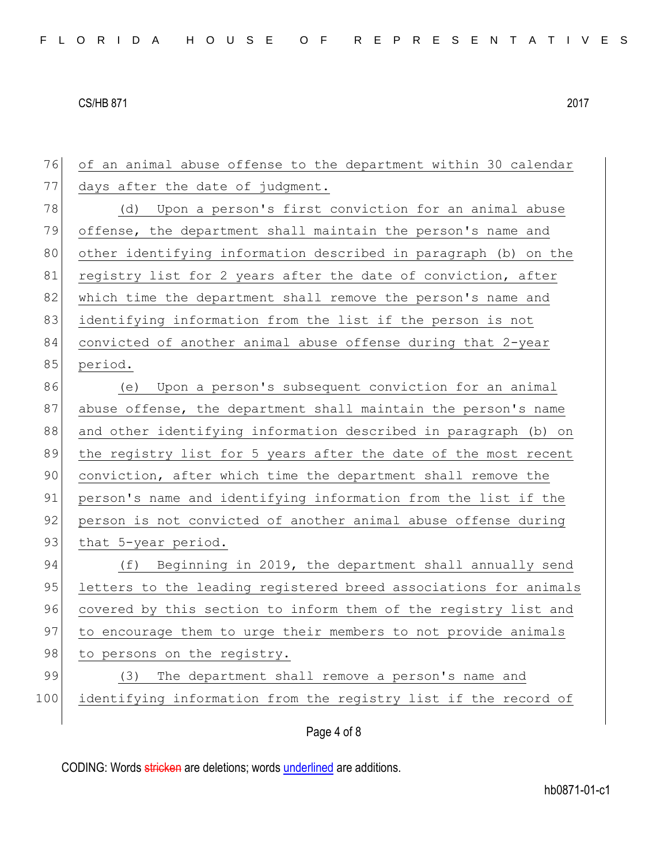76 of an animal abuse offense to the department within 30 calendar 77 days after the date of judgment. 78 (d) Upon a person's first conviction for an animal abuse 79 offense, the department shall maintain the person's name and 80 other identifying information described in paragraph (b) on the 81 registry list for 2 years after the date of conviction, after 82 which time the department shall remove the person's name and 83 identifying information from the list if the person is not 84 convicted of another animal abuse offense during that 2-year 85 period. 86 (e) Upon a person's subsequent conviction for an animal 87 abuse offense, the department shall maintain the person's name 88 and other identifying information described in paragraph (b) on 89 the registry list for 5 years after the date of the most recent 90 conviction, after which time the department shall remove the 91 person's name and identifying information from the list if the 92 person is not convicted of another animal abuse offense during 93 that 5-year period. 94 (f) Beginning in 2019, the department shall annually send 95 letters to the leading registered breed associations for animals 96 covered by this section to inform them of the registry list and 97 to encourage them to urge their members to not provide animals 98 to persons on the registry. 99 (3) The department shall remove a person's name and 100 identifying information from the registry list if the record of

Page 4 of 8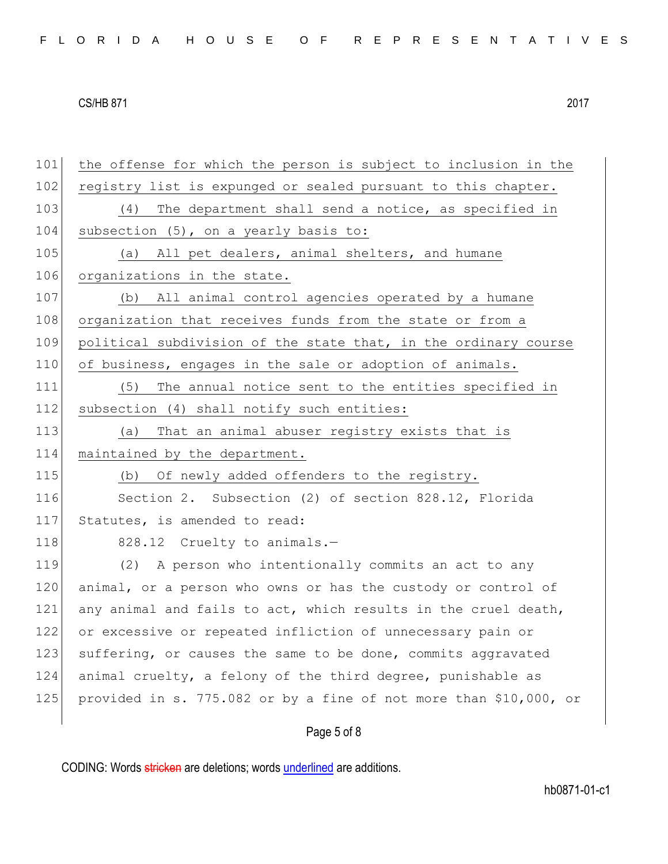| FLORIDA HOUSE OF REPRESENTATIVES |  |
|----------------------------------|--|
|----------------------------------|--|

Page 5 of 8 101 the offense for which the person is subject to inclusion in the 102 registry list is expunged or sealed pursuant to this chapter. 103 (4) The department shall send a notice, as specified in 104 subsection (5), on a yearly basis to: 105 (a) All pet dealers, animal shelters, and humane 106 organizations in the state. 107 (b) All animal control agencies operated by a humane 108 organization that receives funds from the state or from a 109 political subdivision of the state that, in the ordinary course 110 of business, engages in the sale or adoption of animals. 111 (5) The annual notice sent to the entities specified in 112 subsection (4) shall notify such entities: 113 (a) That an animal abuser registry exists that is 114 maintained by the department. 115 (b) Of newly added offenders to the registry. 116 Section 2. Subsection (2) of section 828.12, Florida 117 Statutes, is amended to read: 118 828.12 Cruelty to animals.-119 (2) A person who intentionally commits an act to any 120 animal, or a person who owns or has the custody or control of 121 any animal and fails to act, which results in the cruel death, 122 or excessive or repeated infliction of unnecessary pain or 123 suffering, or causes the same to be done, commits aggravated 124 animal cruelty, a felony of the third degree, punishable as 125 provided in s. 775.082 or by a fine of not more than \$10,000, or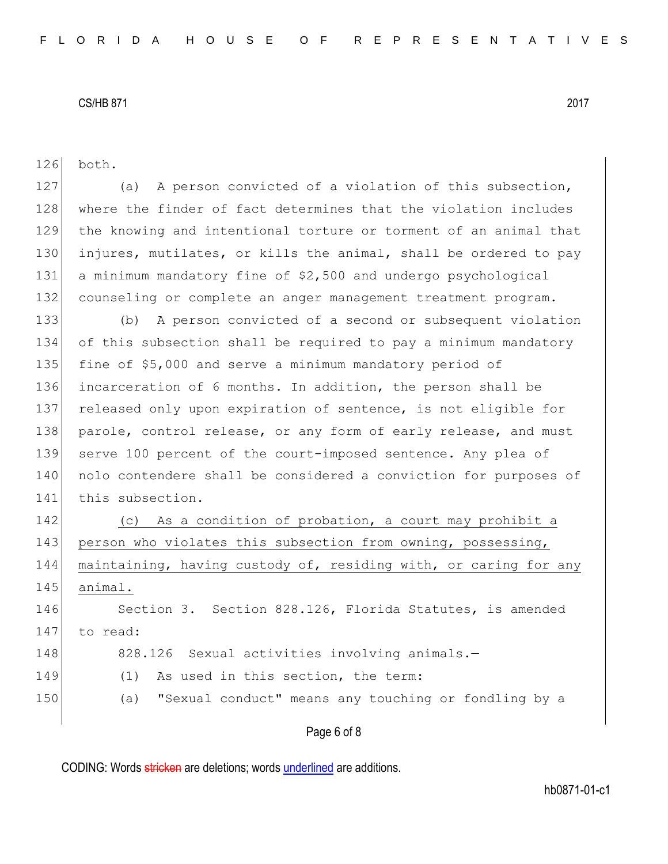| 126 | both.                                                            |
|-----|------------------------------------------------------------------|
| 127 | A person convicted of a violation of this subsection,<br>(a)     |
| 128 | where the finder of fact determines that the violation includes  |
| 129 | the knowing and intentional torture or torment of an animal that |
| 130 | injures, mutilates, or kills the animal, shall be ordered to pay |
| 131 | a minimum mandatory fine of \$2,500 and undergo psychological    |
| 132 | counseling or complete an anger management treatment program.    |
| 133 | (b) A person convicted of a second or subsequent violation       |
| 134 | of this subsection shall be required to pay a minimum mandatory  |
| 135 | fine of \$5,000 and serve a minimum mandatory period of          |
| 136 | incarceration of 6 months. In addition, the person shall be      |
| 137 | released only upon expiration of sentence, is not eligible for   |
| 138 | parole, control release, or any form of early release, and must  |
| 139 | serve 100 percent of the court-imposed sentence. Any plea of     |
| 140 | nolo contendere shall be considered a conviction for purposes of |
| 141 | this subsection.                                                 |
| 142 | (c) As a condition of probation, a court may prohibit a          |
| 143 | person who violates this subsection from owning, possessing,     |
| 144 | maintaining, having custody of, residing with, or caring for any |
| 145 | animal.                                                          |
| 146 | Section 3. Section 828.126, Florida Statutes, is amended         |
| 147 | to read:                                                         |
| 148 | 828.126 Sexual activities involving animals.-                    |
| 149 | As used in this section, the term:<br>(1)                        |
| 150 | "Sexual conduct" means any touching or fondling by a<br>(a)      |
|     |                                                                  |

# Page 6 of 8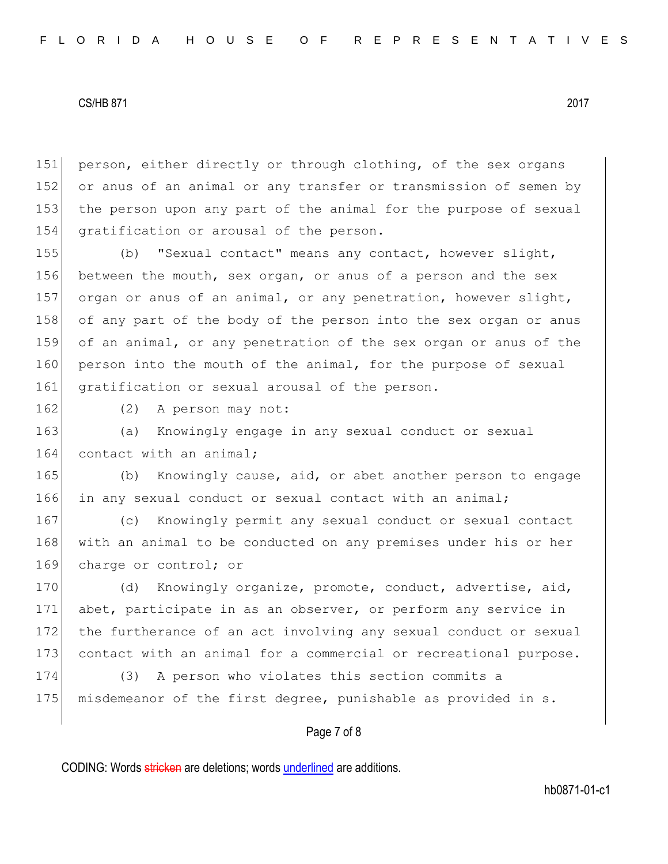151 person, either directly or through clothing, of the sex organs 152 or anus of an animal or any transfer or transmission of semen by 153 the person upon any part of the animal for the purpose of sexual 154 gratification or arousal of the person.

155 (b) "Sexual contact" means any contact, however slight, 156 between the mouth, sex organ, or anus of a person and the sex 157 organ or anus of an animal, or any penetration, however slight, 158 of any part of the body of the person into the sex organ or anus 159 of an animal, or any penetration of the sex organ or anus of the 160 person into the mouth of the animal, for the purpose of sexual 161 gratification or sexual arousal of the person.

162 (2) A person may not:

163 (a) Knowingly engage in any sexual conduct or sexual 164 contact with an animal;

165 (b) Knowingly cause, aid, or abet another person to engage 166 in any sexual conduct or sexual contact with an animal;

167 (c) Knowingly permit any sexual conduct or sexual contact 168 with an animal to be conducted on any premises under his or her 169 charge or control; or

170 (d) Knowingly organize, promote, conduct, advertise, aid, 171 abet, participate in as an observer, or perform any service in 172 the furtherance of an act involving any sexual conduct or sexual 173 contact with an animal for a commercial or recreational purpose.

174 (3) A person who violates this section commits a 175 misdemeanor of the first degree, punishable as provided in s.

## Page 7 of 8